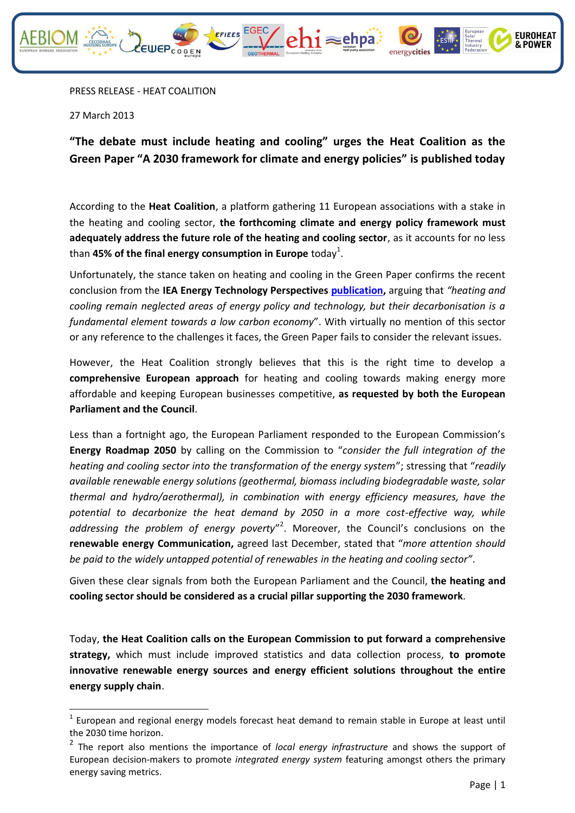

27 March 2013

**.** 

**"The debate must include heating and cooling" urges the Heat Coalition as the Green Paper "A 2030 framework for climate and energy policies" is published today**

 $\sqrt{\ }$ ehi $\approx$ ehpa

According to the **Heat Coalition**, a platform gathering 11 European associations with a stake in the heating and cooling sector, **the forthcoming climate and energy policy framework must adequately address the future role of the heating and cooling sector**, as it accounts for no less than **45% of the final energy consumption in Europe** today<sup>1</sup>.

Unfortunately, the stance taken on heating and cooling in the Green Paper confirms the recent conclusion from the **IEA Energy Technology Perspectives [publication,](http://www.iea.org/w/bookshop/add.aspx?id=425)** arguing that *"heating and cooling remain neglected areas of energy policy and technology, but their decarbonisation is a fundamental element towards a low carbon economy*". With virtually no mention of this sector or any reference to the challenges it faces, the Green Paper fails to consider the relevant issues.

However, the Heat Coalition strongly believes that this is the right time to develop a **comprehensive European approach** for heating and cooling towards making energy more affordable and keeping European businesses competitive, **as requested by both the European Parliament and the Council**.

Less than a fortnight ago, the European Parliament responded to the European Commission's **Energy Roadmap 2050** by calling on the Commission to "*consider the full integration of the heating and cooling sector into the transformation of the energy system*"; stressing that "*readily available renewable energy solutions (geothermal, biomass including biodegradable waste, solar thermal and hydro/aerothermal), in combination with energy efficiency measures, have the potential to decarbonize the heat demand by 2050 in a more cost-effective way, while*  addressing the problem of energy poverty<sup>"2</sup>. Moreover, the Council's conclusions on the **renewable energy Communication,** agreed last December, stated that "*more attention should be paid to the widely untapped potential of renewables in the heating and cooling sector"*.

Given these clear signals from both the European Parliament and the Council, **the heating and cooling sector should be considered as a crucial pillar supporting the 2030 framework**.

Today, **the Heat Coalition calls on the European Commission to put forward a comprehensive strategy,** which must include improved statistics and data collection process, **to promote innovative renewable energy sources and energy efficient solutions throughout the entire energy supply chain**.

**EUROHEAT** & POWER

 $1$  European and regional energy models forecast heat demand to remain stable in Europe at least until the 2030 time horizon.

<sup>2</sup> The report also mentions the importance of *local energy infrastructure* and shows the support of European decision-makers to promote *integrated energy system* featuring amongst others the primary energy saving metrics.